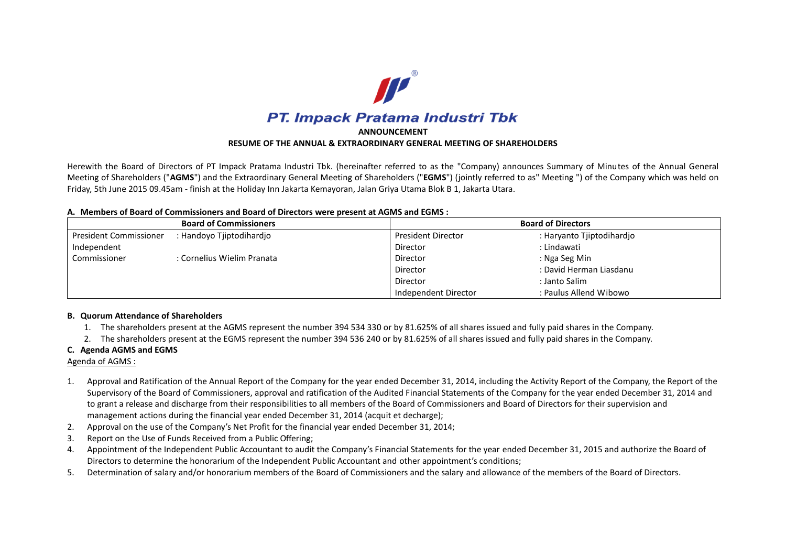

Herewith the Board of Directors of PT Impack Pratama Industri Tbk. (hereinafter referred to as the "Company) announces Summary of Minutes of the Annual General Meeting of Shareholders ("**AGMS**") and the Extraordinary General Meeting of Shareholders ("**EGMS**") (jointly referred to as" Meeting ") of the Company which was held on Friday, 5th June 2015 09.45am - finish at the Holiday Inn Jakarta Kemayoran, Jalan Griya Utama Blok B 1, Jakarta Utara.

#### **A. Members of Board of Commissioners and Board of Directors were present at AGMS and EGMS :**

| <b>Board of Commissioners</b> |                            | <b>Board of Directors</b> |                           |
|-------------------------------|----------------------------|---------------------------|---------------------------|
| President Commissioner        | : Handoyo Tjiptodihardjo   | <b>President Director</b> | : Haryanto Tjiptodihardjo |
| Independent                   |                            | Director                  | : Lindawati               |
| Commissioner                  | : Cornelius Wielim Pranata | Director                  | : Nga Seg Min             |
|                               |                            | Director                  | : David Herman Liasdanu   |
|                               |                            | Director                  | : Janto Salim             |
|                               |                            | Independent Director      | : Paulus Allend Wibowo    |

# **B. Quorum Attendance of Shareholders**

- 1. The shareholders present at the AGMS represent the number 394 534 330 or by 81.625% of all shares issued and fully paid shares in the Company.
- 2. The shareholders present at the EGMS represent the number 394 536 240 or by 81.625% of all shares issued and fully paid shares in the Company.

# **C. Agenda AGMS and EGMS**

Agenda of AGMS :

- 1. Approval and Ratification of the Annual Report of the Company for the year ended December 31, 2014, including the Activity Report of the Company, the Report of the Supervisory of the Board of Commissioners, approval and ratification of the Audited Financial Statements of the Company for the year ended December 31, 2014 and to grant a release and discharge from their responsibilities to all members of the Board of Commissioners and Board of Directors for their supervision and management actions during the financial year ended December 31, 2014 (acquit et decharge);
- 2. Approval on the use of the Company's Net Profit for the financial year ended December 31, 2014;
- 3. Report on the Use of Funds Received from a Public Offering;
- 4. Appointment of the Independent Public Accountant to audit the Company's Financial Statements for the year ended December 31, 2015 and authorize the Board of Directors to determine the honorarium of the Independent Public Accountant and other appointment's conditions;
- 5. Determination of salary and/or honorarium members of the Board of Commissioners and the salary and allowance of the members of the Board of Directors.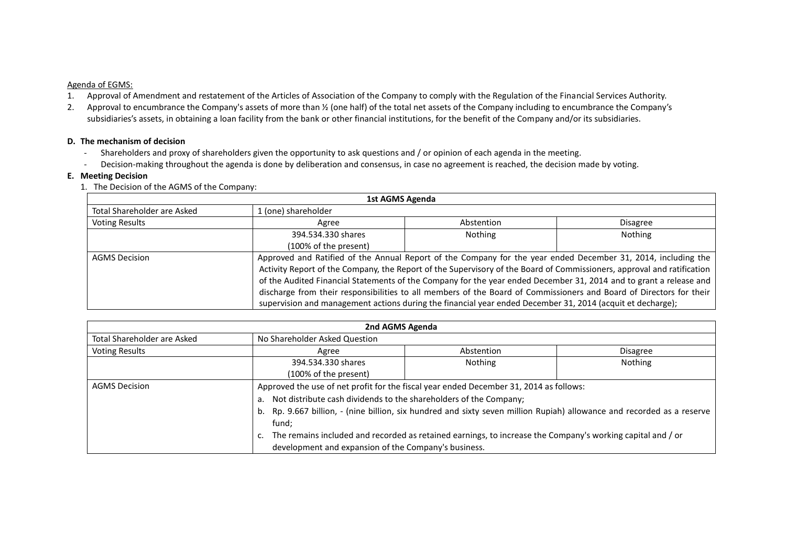# Agenda of EGMS:

- 1. Approval of Amendment and restatement of the Articles of Association of the Company to comply with the Regulation of the Financial Services Authority.
- 2. Approval to encumbrance the Company's assets of more than % (one half) of the total net assets of the Company including to encumbrance the Company's subsidiaries's assets, in obtaining a loan facility from the bank or other financial institutions, for the benefit of the Company and/or its subsidiaries.

#### **D. The mechanism of decision**

- Shareholders and proxy of shareholders given the opportunity to ask questions and / or opinion of each agenda in the meeting.
- Decision-making throughout the agenda is done by deliberation and consensus, in case no agreement is reached, the decision made by voting.

# **E. Meeting Decision**

1. The Decision of the AGMS of the Company:

| 1st AGMS Agenda             |                                                                                                                                                                                                                                                                                                                                                                                                                                                                                                                                                                                                    |            |                 |
|-----------------------------|----------------------------------------------------------------------------------------------------------------------------------------------------------------------------------------------------------------------------------------------------------------------------------------------------------------------------------------------------------------------------------------------------------------------------------------------------------------------------------------------------------------------------------------------------------------------------------------------------|------------|-----------------|
| Total Shareholder are Asked | l (one) shareholder                                                                                                                                                                                                                                                                                                                                                                                                                                                                                                                                                                                |            |                 |
| <b>Voting Results</b>       | Agree                                                                                                                                                                                                                                                                                                                                                                                                                                                                                                                                                                                              | Abstention | <b>Disagree</b> |
|                             | 394.534.330 shares                                                                                                                                                                                                                                                                                                                                                                                                                                                                                                                                                                                 | Nothing    | <b>Nothing</b>  |
|                             | (100% of the present)                                                                                                                                                                                                                                                                                                                                                                                                                                                                                                                                                                              |            |                 |
| <b>AGMS Decision</b>        | Approved and Ratified of the Annual Report of the Company for the year ended December 31, 2014, including the<br>Activity Report of the Company, the Report of the Supervisory of the Board of Commissioners, approval and ratification<br>of the Audited Financial Statements of the Company for the year ended December 31, 2014 and to grant a release and<br>discharge from their responsibilities to all members of the Board of Commissioners and Board of Directors for their<br>supervision and management actions during the financial year ended December 31, 2014 (acquit et decharge); |            |                 |

| 2nd AGMS Agenda             |                                                                                                                     |                                                                                        |                 |
|-----------------------------|---------------------------------------------------------------------------------------------------------------------|----------------------------------------------------------------------------------------|-----------------|
| Total Shareholder are Asked | No Shareholder Asked Question                                                                                       |                                                                                        |                 |
| <b>Voting Results</b>       | Agree                                                                                                               | Abstention                                                                             | <b>Disagree</b> |
|                             | 394.534.330 shares                                                                                                  | <b>Nothing</b>                                                                         | Nothing         |
|                             | (100% of the present)                                                                                               |                                                                                        |                 |
| <b>AGMS Decision</b>        |                                                                                                                     | Approved the use of net profit for the fiscal year ended December 31, 2014 as follows: |                 |
|                             | a. Not distribute cash dividends to the shareholders of the Company;                                                |                                                                                        |                 |
|                             | Rp. 9.667 billion, - (nine billion, six hundred and sixty seven million Rupiah) allowance and recorded as a reserve |                                                                                        |                 |
|                             | fund:                                                                                                               |                                                                                        |                 |
|                             | c. The remains included and recorded as retained earnings, to increase the Company's working capital and / or       |                                                                                        |                 |
|                             | development and expansion of the Company's business.                                                                |                                                                                        |                 |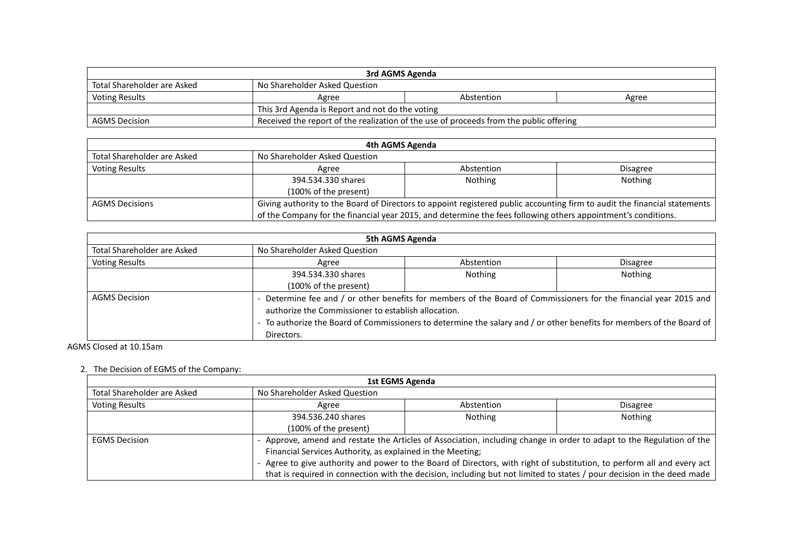| 3rd AGMS Agenda                                              |                                                                                        |            |       |
|--------------------------------------------------------------|----------------------------------------------------------------------------------------|------------|-------|
| Total Shareholder are Asked<br>No Shareholder Asked Question |                                                                                        |            |       |
| Voting Results                                               | Agree                                                                                  | Abstention | Agree |
|                                                              | This 3rd Agenda is Report and not do the voting                                        |            |       |
| AGMS Decision                                                | Received the report of the realization of the use of proceeds from the public offering |            |       |

| 4th AGMS Agenda             |                                                                                                                           |                |                 |
|-----------------------------|---------------------------------------------------------------------------------------------------------------------------|----------------|-----------------|
| Total Shareholder are Asked | No Shareholder Asked Question                                                                                             |                |                 |
| <b>Voting Results</b>       | Agree                                                                                                                     | Abstention     | <b>Disagree</b> |
|                             | 394.534.330 shares                                                                                                        | <b>Nothing</b> | Nothing         |
|                             | (100% of the present)                                                                                                     |                |                 |
| <b>AGMS Decisions</b>       | Giving authority to the Board of Directors to appoint registered public accounting firm to audit the financial statements |                |                 |
|                             | of the Company for the financial year 2015, and determine the fees following others appointment's conditions.             |                |                 |

| 5th AGMS Agenda                                                                                                       |                                                                                                                   |            |                 |  |
|-----------------------------------------------------------------------------------------------------------------------|-------------------------------------------------------------------------------------------------------------------|------------|-----------------|--|
| Total Shareholder are Asked                                                                                           | No Shareholder Asked Question                                                                                     |            |                 |  |
| <b>Voting Results</b>                                                                                                 | Agree                                                                                                             | Abstention | <b>Disagree</b> |  |
|                                                                                                                       | 394.534.330 shares                                                                                                | Nothing    | Nothing         |  |
|                                                                                                                       | (100% of the present)                                                                                             |            |                 |  |
| <b>AGMS Decision</b>                                                                                                  | - Determine fee and / or other benefits for members of the Board of Commissioners for the financial year 2015 and |            |                 |  |
|                                                                                                                       | authorize the Commissioner to establish allocation.                                                               |            |                 |  |
| - To authorize the Board of Commissioners to determine the salary and / or other benefits for members of the Board of |                                                                                                                   |            |                 |  |
| Directors.                                                                                                            |                                                                                                                   |            |                 |  |

# AGMS Closed at 10.15am

# 2. The Decision of EGMS of the Company:

| 1st EGMS Agenda                                                                                                                                                                                                                                                                                               |                                                                                                                     |                |                 |
|---------------------------------------------------------------------------------------------------------------------------------------------------------------------------------------------------------------------------------------------------------------------------------------------------------------|---------------------------------------------------------------------------------------------------------------------|----------------|-----------------|
| Total Shareholder are Asked                                                                                                                                                                                                                                                                                   | No Shareholder Asked Question                                                                                       |                |                 |
| <b>Voting Results</b>                                                                                                                                                                                                                                                                                         | Agree                                                                                                               | Abstention     | <b>Disagree</b> |
|                                                                                                                                                                                                                                                                                                               | 394.536.240 shares                                                                                                  | <b>Nothing</b> | Nothing         |
|                                                                                                                                                                                                                                                                                                               | (100% of the present)                                                                                               |                |                 |
| <b>EGMS Decision</b>                                                                                                                                                                                                                                                                                          | Approve, amend and restate the Articles of Association, including change in order to adapt to the Regulation of the |                |                 |
| Financial Services Authority, as explained in the Meeting;<br>Agree to give authority and power to the Board of Directors, with right of substitution, to perform all and every act<br>that is required in connection with the decision, including but not limited to states / pour decision in the deed made |                                                                                                                     |                |                 |
|                                                                                                                                                                                                                                                                                                               |                                                                                                                     |                |                 |
|                                                                                                                                                                                                                                                                                                               |                                                                                                                     |                |                 |